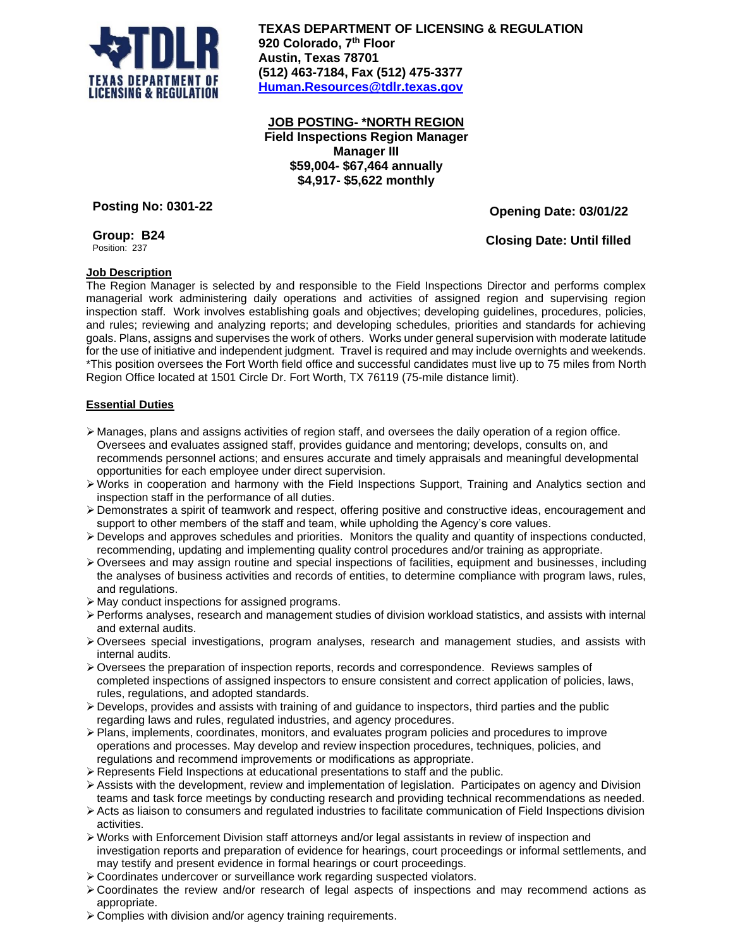

**TEXAS DEPARTMENT OF LICENSING & REGULATION 920 Colorado, 7 th Floor Austin, Texas 78701 (512) 463-7184, Fax (512) 475-3377 [Human.Resources@tdlr.texas.gov](mailto:Human.Resources@tdlr.texas.gov)**

**JOB POSTING- \*NORTH REGION Field Inspections Region Manager Manager III \$59,004- \$67,464 annually \$4,917- \$5,622 monthly**

**Posting No: 0301-22**

**Group: B24** Position: 237

 **Opening Date: 03/01/22**

 **Closing Date: Until filled**

# **Job Description**

The Region Manager is selected by and responsible to the Field Inspections Director and performs complex managerial work administering daily operations and activities of assigned region and supervising region inspection staff. Work involves establishing goals and objectives; developing guidelines, procedures, policies, and rules; reviewing and analyzing reports; and developing schedules, priorities and standards for achieving goals. Plans, assigns and supervises the work of others. Works under general supervision with moderate latitude for the use of initiative and independent judgment. Travel is required and may include overnights and weekends. \*This position oversees the Fort Worth field office and successful candidates must live up to 75 miles from North Region Office located at 1501 Circle Dr. Fort Worth, TX 76119 (75-mile distance limit).

## **Essential Duties**

- ➢ Manages, plans and assigns activities of region staff, and oversees the daily operation of a region office. Oversees and evaluates assigned staff, provides guidance and mentoring; develops, consults on, and recommends personnel actions; and ensures accurate and timely appraisals and meaningful developmental opportunities for each employee under direct supervision.
- ➢Works in cooperation and harmony with the Field Inspections Support, Training and Analytics section and inspection staff in the performance of all duties.
- ➢Demonstrates a spirit of teamwork and respect, offering positive and constructive ideas, encouragement and support to other members of the staff and team, while upholding the Agency's core values.
- $\triangleright$  Develops and approves schedules and priorities. Monitors the quality and quantity of inspections conducted, recommending, updating and implementing quality control procedures and/or training as appropriate.
- ➢Oversees and may assign routine and special inspections of facilities, equipment and businesses, including the analyses of business activities and records of entities, to determine compliance with program laws, rules, and regulations.
- ➢ May conduct inspections for assigned programs.
- ➢Performs analyses, research and management studies of division workload statistics, and assists with internal and external audits.
- ➢Oversees special investigations, program analyses, research and management studies, and assists with internal audits.
- $\triangleright$  Oversees the preparation of inspection reports, records and correspondence. Reviews samples of completed inspections of assigned inspectors to ensure consistent and correct application of policies, laws, rules, regulations, and adopted standards.
- $\triangleright$  Develops, provides and assists with training of and guidance to inspectors, third parties and the public regarding laws and rules, regulated industries, and agency procedures.
- ➢Plans, implements, coordinates, monitors, and evaluates program policies and procedures to improve operations and processes. May develop and review inspection procedures, techniques, policies, and regulations and recommend improvements or modifications as appropriate.
- $\triangleright$  Represents Field Inspections at educational presentations to staff and the public.
- ➢Assists with the development, review and implementation of legislation. Participates on agency and Division teams and task force meetings by conducting research and providing technical recommendations as needed.
- ➢Acts as liaison to consumers and regulated industries to facilitate communication of Field Inspections division activities.
- ➢Works with Enforcement Division staff attorneys and/or legal assistants in review of inspection and investigation reports and preparation of evidence for hearings, court proceedings or informal settlements, and may testify and present evidence in formal hearings or court proceedings.
- ➢Coordinates undercover or surveillance work regarding suspected violators.
- ➢Coordinates the review and/or research of legal aspects of inspections and may recommend actions as appropriate.
- ➢Complies with division and/or agency training requirements.